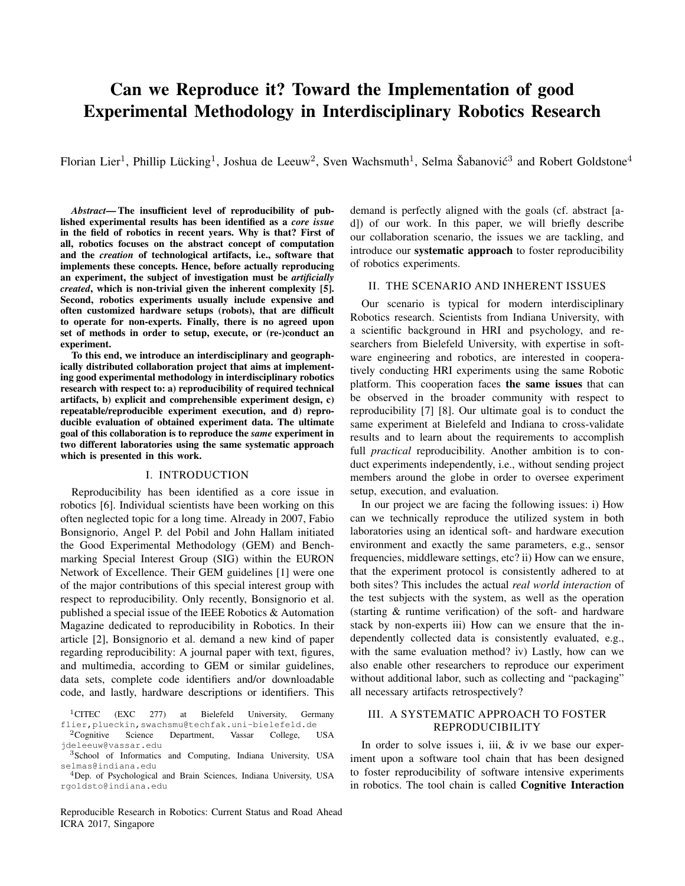# Can we Reproduce it? Toward the Implementation of good Experimental Methodology in Interdisciplinary Robotics Research

Florian Lier<sup>1</sup>, Phillip Lücking<sup>1</sup>, Joshua de Leeuw<sup>2</sup>, Sven Wachsmuth<sup>1</sup>, Selma Šabanović<sup>3</sup> and Robert Goldstone<sup>4</sup>

*Abstract*— The insufficient level of reproducibility of published experimental results has been identified as a *core issue* in the field of robotics in recent years. Why is that? First of all, robotics focuses on the abstract concept of computation and the *creation* of technological artifacts, i.e., software that implements these concepts. Hence, before actually reproducing an experiment, the subject of investigation must be *artificially created*, which is non-trivial given the inherent complexity [5]. Second, robotics experiments usually include expensive and often customized hardware setups (robots), that are difficult to operate for non-experts. Finally, there is no agreed upon set of methods in order to setup, execute, or (re-)conduct an experiment.

To this end, we introduce an interdisciplinary and geographically distributed collaboration project that aims at implementing good experimental methodology in interdisciplinary robotics research with respect to: a) reproducibility of required technical artifacts, b) explicit and comprehensible experiment design, c) repeatable/reproducible experiment execution, and d) reproducible evaluation of obtained experiment data. The ultimate goal of this collaboration is to reproduce the *same* experiment in two different laboratories using the same systematic approach which is presented in this work.

## I. INTRODUCTION

Reproducibility has been identified as a core issue in robotics [6]. Individual scientists have been working on this often neglected topic for a long time. Already in 2007, Fabio Bonsignorio, Angel P. del Pobil and John Hallam initiated the Good Experimental Methodology (GEM) and Benchmarking Special Interest Group (SIG) within the EURON Network of Excellence. Their GEM guidelines [1] were one of the major contributions of this special interest group with respect to reproducibility. Only recently, Bonsignorio et al. published a special issue of the IEEE Robotics & Automation Magazine dedicated to reproducibility in Robotics. In their article [2], Bonsignorio et al. demand a new kind of paper regarding reproducibility: A journal paper with text, figures, and multimedia, according to GEM or similar guidelines, data sets, complete code identifiers and/or downloadable code, and lastly, hardware descriptions or identifiers. This

Reproducible Research in Robotics: Current Status and Road Ahead ICRA 2017, Singapore

demand is perfectly aligned with the goals (cf. abstract [ad]) of our work. In this paper, we will briefly describe our collaboration scenario, the issues we are tackling, and introduce our systematic approach to foster reproducibility of robotics experiments.

# II. THE SCENARIO AND INHERENT ISSUES

Our scenario is typical for modern interdisciplinary Robotics research. Scientists from Indiana University, with a scientific background in HRI and psychology, and researchers from Bielefeld University, with expertise in software engineering and robotics, are interested in cooperatively conducting HRI experiments using the same Robotic platform. This cooperation faces the same issues that can be observed in the broader community with respect to reproducibility [7] [8]. Our ultimate goal is to conduct the same experiment at Bielefeld and Indiana to cross-validate results and to learn about the requirements to accomplish full *practical* reproducibility. Another ambition is to conduct experiments independently, i.e., without sending project members around the globe in order to oversee experiment setup, execution, and evaluation.

In our project we are facing the following issues: i) How can we technically reproduce the utilized system in both laboratories using an identical soft- and hardware execution environment and exactly the same parameters, e.g., sensor frequencies, middleware settings, etc? ii) How can we ensure, that the experiment protocol is consistently adhered to at both sites? This includes the actual *real world interaction* of the test subjects with the system, as well as the operation (starting & runtime verification) of the soft- and hardware stack by non-experts iii) How can we ensure that the independently collected data is consistently evaluated, e.g., with the same evaluation method? iv) Lastly, how can we also enable other researchers to reproduce our experiment without additional labor, such as collecting and "packaging" all necessary artifacts retrospectively?

# III. A SYSTEMATIC APPROACH TO FOSTER REPRODUCIBILITY

In order to solve issues i, iii,  $\&$  iv we base our experiment upon a software tool chain that has been designed to foster reproducibility of software intensive experiments in robotics. The tool chain is called Cognitive Interaction

<sup>&</sup>lt;sup>1</sup>CITEC (EXC 277) at Bielefeld University, Germany flier,plueckin,swachsmu@techfak.uni-bielefeld.de

<sup>2</sup>Cognitive Science Department, Vassar College, USA jdeleeuw@vassar.edu

<sup>3</sup>School of Informatics and Computing, Indiana University, USA selmas@indiana.edu

<sup>4</sup>Dep. of Psychological and Brain Sciences, Indiana University, USA rgoldsto@indiana.edu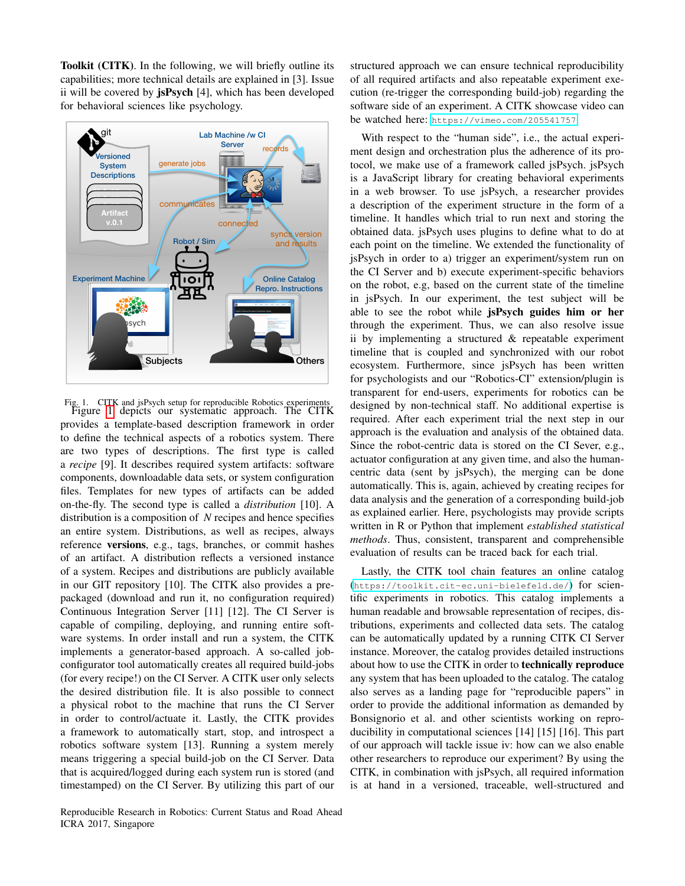Toolkit (CITK). In the following, we will briefly outline its capabilities; more technical details are explained in [3]. Issue ii will be covered by jsPsych [4], which has been developed for behavioral sciences like psychology.



<span id="page-1-0"></span>Fig. 1. CITK and jsPsych setup for reproducible Robotics experiments Figure [1](#page-1-0) depicts our systematic approach. The CITK provides a template-based description framework in order to define the technical aspects of a robotics system. There are two types of descriptions. The first type is called a *recipe* [9]. It describes required system artifacts: software components, downloadable data sets, or system configuration files. Templates for new types of artifacts can be added on-the-fly. The second type is called a *distribution* [10]. A distribution is a composition of *N* recipes and hence specifies an entire system. Distributions, as well as recipes, always reference versions, e.g., tags, branches, or commit hashes of an artifact. A distribution reflects a versioned instance of a system. Recipes and distributions are publicly available in our GIT repository [10]. The CITK also provides a prepackaged (download and run it, no configuration required) Continuous Integration Server [11] [12]. The CI Server is capable of compiling, deploying, and running entire software systems. In order install and run a system, the CITK implements a generator-based approach. A so-called jobconfigurator tool automatically creates all required build-jobs (for every recipe!) on the CI Server. A CITK user only selects the desired distribution file. It is also possible to connect a physical robot to the machine that runs the CI Server in order to control/actuate it. Lastly, the CITK provides a framework to automatically start, stop, and introspect a robotics software system [13]. Running a system merely means triggering a special build-job on the CI Server. Data that is acquired/logged during each system run is stored (and timestamped) on the CI Server. By utilizing this part of our

structured approach we can ensure technical reproducibility of all required artifacts and also repeatable experiment execution (re-trigger the corresponding build-job) regarding the software side of an experiment. A CITK showcase video can be watched here: <https://vimeo.com/205541757>

With respect to the "human side", i.e., the actual experiment design and orchestration plus the adherence of its protocol, we make use of a framework called jsPsych. jsPsych is a JavaScript library for creating behavioral experiments in a web browser. To use jsPsych, a researcher provides a description of the experiment structure in the form of a timeline. It handles which trial to run next and storing the obtained data. jsPsych uses plugins to define what to do at each point on the timeline. We extended the functionality of jsPsych in order to a) trigger an experiment/system run on the CI Server and b) execute experiment-specific behaviors on the robot, e.g, based on the current state of the timeline in jsPsych. In our experiment, the test subject will be able to see the robot while jsPsych guides him or her through the experiment. Thus, we can also resolve issue ii by implementing a structured & repeatable experiment timeline that is coupled and synchronized with our robot ecosystem. Furthermore, since jsPsych has been written for psychologists and our "Robotics-CI" extension/plugin is transparent for end-users, experiments for robotics can be designed by non-technical staff. No additional expertise is required. After each experiment trial the next step in our approach is the evaluation and analysis of the obtained data. Since the robot-centric data is stored on the CI Sever, e.g., actuator configuration at any given time, and also the humancentric data (sent by jsPsych), the merging can be done automatically. This is, again, achieved by creating recipes for data analysis and the generation of a corresponding build-job as explained earlier. Here, psychologists may provide scripts written in R or Python that implement *established statistical methods*. Thus, consistent, transparent and comprehensible evaluation of results can be traced back for each trial.

Lastly, the CITK tool chain features an online catalog (<https://toolkit.cit-ec.uni-bielefeld.de/>) for scientific experiments in robotics. This catalog implements a human readable and browsable representation of recipes, distributions, experiments and collected data sets. The catalog can be automatically updated by a running CITK CI Server instance. Moreover, the catalog provides detailed instructions about how to use the CITK in order to technically reproduce any system that has been uploaded to the catalog. The catalog also serves as a landing page for "reproducible papers" in order to provide the additional information as demanded by Bonsignorio et al. and other scientists working on reproducibility in computational sciences [14] [15] [16]. This part of our approach will tackle issue iv: how can we also enable other researchers to reproduce our experiment? By using the CITK, in combination with jsPsych, all required information is at hand in a versioned, traceable, well-structured and